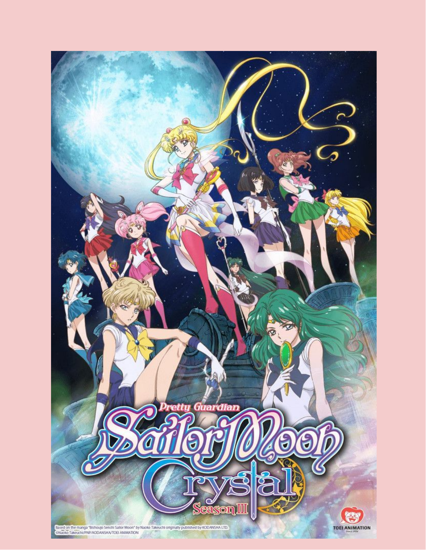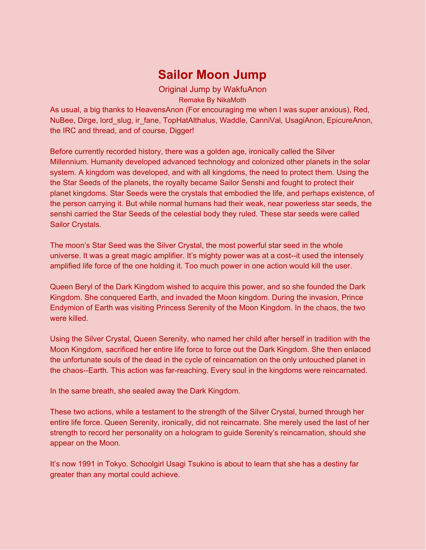# **Sailor Moon Jump**

Original Jump by WakfuAnon

Remake By NikaMoth

As usual, a big thanks to HeavensAnon (For encouraging me when I was super anxious), Red, NuBee, Dirge, lord\_slug, ir\_fane, TopHatAlthalus, Waddle, CanniVal, UsagiAnon, EpicureAnon, the IRC and thread, and of course, Digger!

Before currently recorded history, there was a golden age, ironically called the Silver Millennium. Humanity developed advanced technology and colonized other planets in the solar system. A kingdom was developed, and with all kingdoms, the need to protect them. Using the the Star Seeds of the planets, the royalty became Sailor Senshi and fought to protect their planet kingdoms. Star Seeds were the crystals that embodied the life, and perhaps existence, of the person carrying it. But while normal humans had their weak, near powerless star seeds, the senshi carried the Star Seeds of the celestial body they ruled. These star seeds were called Sailor Crystals.

The moon's Star Seed was the Silver Crystal, the most powerful star seed in the whole universe. It was a great magic amplifier. It's mighty power was at a cost--it used the intensely amplified life force of the one holding it. Too much power in one action would kill the user.

Queen Beryl of the Dark Kingdom wished to acquire this power, and so she founded the Dark Kingdom. She conquered Earth, and invaded the Moon kingdom. During the invasion, Prince Endymion of Earth was visiting Princess Serenity of the Moon Kingdom. In the chaos, the two were killed.

Using the Silver Crystal, Queen Serenity, who named her child after herself in tradition with the Moon Kingdom, sacrificed her entire life force to force out the Dark Kingdom. She then enlaced the unfortunate souls of the dead in the cycle of reincarnation on the only untouched planet in the chaos--Earth. This action was far-reaching. Every soul in the kingdoms were reincarnated.

In the same breath, she sealed away the Dark Kingdom.

These two actions, while a testament to the strength of the Silver Crystal, burned through her entire life force. Queen Serenity, ironically, did not reincarnate. She merely used the last of her strength to record her personality on a hologram to guide Serenity's reincarnation, should she appear on the Moon.

It's now 1991 in Tokyo. Schoolgirl Usagi Tsukino is about to learn that she has a destiny far greater than any mortal could achieve.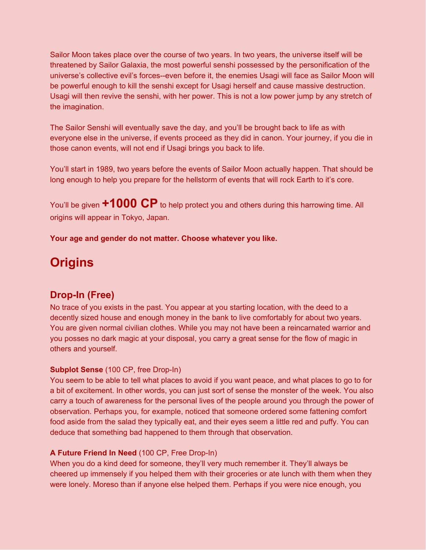Sailor Moon takes place over the course of two years. In two years, the universe itself will be threatened by Sailor Galaxia, the most powerful senshi possessed by the personification of the universe's collective evil's forces--even before it, the enemies Usagi will face as Sailor Moon will be powerful enough to kill the senshi except for Usagi herself and cause massive destruction. Usagi will then revive the senshi, with her power. This is not a low power jump by any stretch of the imagination.

The Sailor Senshi will eventually save the day, and you'll be brought back to life as with everyone else in the universe, if events proceed as they did in canon. Your journey, if you die in those canon events, will not end if Usagi brings you back to life.

You'll start in 1989, two years before the events of Sailor Moon actually happen. That should be long enough to help you prepare for the hellstorm of events that will rock Earth to it's core.

You'll be given **+1000 CP** to help protect you and others during this harrowing time. All origins will appear in Tokyo, Japan.

**Your age and gender do not matter. Choose whatever you like.**

# **Origins**

# **Drop-In (Free)**

No trace of you exists in the past. You appear at you starting location, with the deed to a decently sized house and enough money in the bank to live comfortably for about two years. You are given normal civilian clothes. While you may not have been a reincarnated warrior and you posses no dark magic at your disposal, you carry a great sense for the flow of magic in others and yourself.

# **Subplot Sense** (100 CP, free Drop-In)

You seem to be able to tell what places to avoid if you want peace, and what places to go to for a bit of excitement. In other words, you can just sort of sense the monster of the week. You also carry a touch of awareness for the personal lives of the people around you through the power of observation. Perhaps you, for example, noticed that someone ordered some fattening comfort food aside from the salad they typically eat, and their eyes seem a little red and puffy. You can deduce that something bad happened to them through that observation.

# **A Future Friend In Need** (100 CP, Free Drop-In)

When you do a kind deed for someone, they'll very much remember it. They'll always be cheered up immensely if you helped them with their groceries or ate lunch with them when they were lonely. Moreso than if anyone else helped them. Perhaps if you were nice enough, you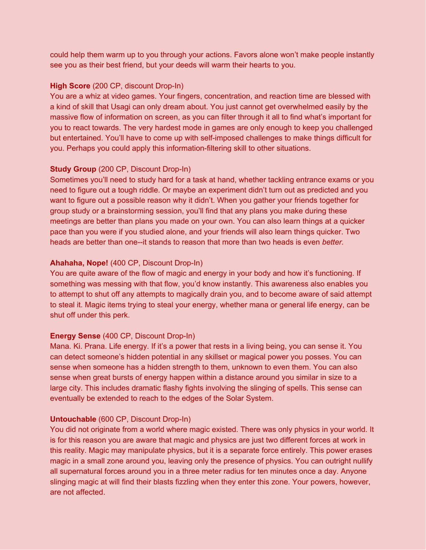could help them warm up to you through your actions. Favors alone won't make people instantly see you as their best friend, but your deeds will warm their hearts to you.

#### **High Score** (200 CP, discount Drop-In)

You are a whiz at video games. Your fingers, concentration, and reaction time are blessed with a kind of skill that Usagi can only dream about. You just cannot get overwhelmed easily by the massive flow of information on screen, as you can filter through it all to find what's important for you to react towards. The very hardest mode in games are only enough to keep you challenged but entertained. You'll have to come up with self-imposed challenges to make things difficult for you. Perhaps you could apply this information-filtering skill to other situations.

#### **Study Group** (200 CP, Discount Drop-In)

Sometimes you'll need to study hard for a task at hand, whether tackling entrance exams or you need to figure out a tough riddle. Or maybe an experiment didn't turn out as predicted and you want to figure out a possible reason why it didn't. When you gather your friends together for group study or a brainstorming session, you'll find that any plans you make during these meetings are better than plans you made on your own. You can also learn things at a quicker pace than you were if you studied alone, and your friends will also learn things quicker. Two heads are better than one--it stands to reason that more than two heads is even *better.*

#### **Ahahaha, Nope!** (400 CP, Discount Drop-In)

You are quite aware of the flow of magic and energy in your body and how it's functioning. If something was messing with that flow, you'd know instantly. This awareness also enables you to attempt to shut off any attempts to magically drain you, and to become aware of said attempt to steal it. Magic items trying to steal your energy, whether mana or general life energy, can be shut off under this perk.

#### **Energy Sense** (400 CP, Discount Drop-In)

Mana. Ki. Prana. Life energy. If it's a power that rests in a living being, you can sense it. You can detect someone's hidden potential in any skillset or magical power you posses. You can sense when someone has a hidden strength to them, unknown to even them. You can also sense when great bursts of energy happen within a distance around you similar in size to a large city. This includes dramatic flashy fights involving the slinging of spells. This sense can eventually be extended to reach to the edges of the Solar System.

#### **Untouchable** (600 CP, Discount Drop-In)

You did not originate from a world where magic existed. There was only physics in your world. It is for this reason you are aware that magic and physics are just two different forces at work in this reality. Magic may manipulate physics, but it is a separate force entirely. This power erases magic in a small zone around you, leaving only the presence of physics. You can outright nullify all supernatural forces around you in a three meter radius for ten minutes once a day. Anyone slinging magic at will find their blasts fizzling when they enter this zone. Your powers, however, are not affected.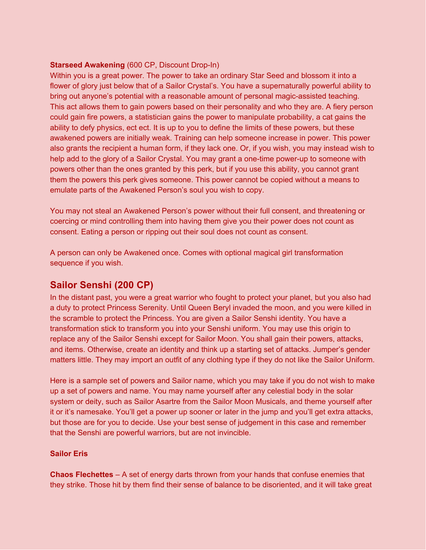### **Starseed Awakening** (600 CP, Discount Drop-In)

Within you is a great power. The power to take an ordinary Star Seed and blossom it into a flower of glory just below that of a Sailor Crystal's. You have a supernaturally powerful ability to bring out anyone's potential with a reasonable amount of personal magic-assisted teaching. This act allows them to gain powers based on their personality and who they are. A fiery person could gain fire powers, a statistician gains the power to manipulate probability, a cat gains the ability to defy physics, ect ect. It is up to you to define the limits of these powers, but these awakened powers are initially weak. Training can help someone increase in power. This power also grants the recipient a human form, if they lack one. Or, if you wish, you may instead wish to help add to the glory of a Sailor Crystal. You may grant a one-time power-up to someone with powers other than the ones granted by this perk, but if you use this ability, you cannot grant them the powers this perk gives someone. This power cannot be copied without a means to emulate parts of the Awakened Person's soul you wish to copy.

You may not steal an Awakened Person's power without their full consent, and threatening or coercing or mind controlling them into having them give you their power does not count as consent. Eating a person or ripping out their soul does not count as consent.

A person can only be Awakened once. Comes with optional magical girl transformation sequence if you wish.

# **Sailor Senshi (200 CP)**

In the distant past, you were a great warrior who fought to protect your planet, but you also had a duty to protect Princess Serenity. Until Queen Beryl invaded the moon, and you were killed in the scramble to protect the Princess. You are given a Sailor Senshi identity. You have a transformation stick to transform you into your Senshi uniform. You may use this origin to replace any of the Sailor Senshi except for Sailor Moon. You shall gain their powers, attacks, and items. Otherwise, create an identity and think up a starting set of attacks. Jumper's gender matters little. They may import an outfit of any clothing type if they do not like the Sailor Uniform.

Here is a sample set of powers and Sailor name, which you may take if you do not wish to make up a set of powers and name. You may name yourself after any celestial body in the solar system or deity, such as Sailor Asartre from the Sailor Moon Musicals, and theme yourself after it or it's namesake. You'll get a power up sooner or later in the jump and you'll get extra attacks, but those are for you to decide. Use your best sense of judgement in this case and remember that the Senshi are powerful warriors, but are not invincible.

#### **Sailor Eris**

**Chaos Flechettes** – A set of energy darts thrown from your hands that confuse enemies that they strike. Those hit by them find their sense of balance to be disoriented, and it will take great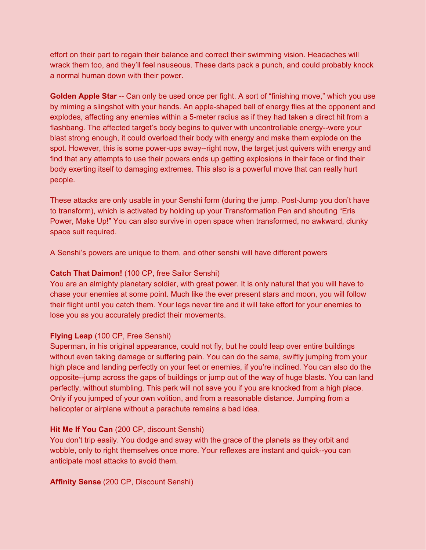effort on their part to regain their balance and correct their swimming vision. Headaches will wrack them too, and they'll feel nauseous. These darts pack a punch, and could probably knock a normal human down with their power.

**Golden Apple Star** -- Can only be used once per fight. A sort of "finishing move," which you use by miming a slingshot with your hands. An apple-shaped ball of energy flies at the opponent and explodes, affecting any enemies within a 5-meter radius as if they had taken a direct hit from a flashbang. The affected target's body begins to quiver with uncontrollable energy--were your blast strong enough, it could overload their body with energy and make them explode on the spot. However, this is some power-ups away--right now, the target just quivers with energy and find that any attempts to use their powers ends up getting explosions in their face or find their body exerting itself to damaging extremes. This also is a powerful move that can really hurt people.

These attacks are only usable in your Senshi form (during the jump. Post-Jump you don't have to transform), which is activated by holding up your Transformation Pen and shouting "Eris Power, Make Up!" You can also survive in open space when transformed, no awkward, clunky space suit required.

A Senshi's powers are unique to them, and other senshi will have different powers

#### **Catch That Daimon!** (100 CP, free Sailor Senshi)

You are an almighty planetary soldier, with great power. It is only natural that you will have to chase your enemies at some point. Much like the ever present stars and moon, you will follow their flight until you catch them. Your legs never tire and it will take effort for your enemies to lose you as you accurately predict their movements.

#### **Flying Leap** (100 CP, Free Senshi)

Superman, in his original appearance, could not fly, but he could leap over entire buildings without even taking damage or suffering pain. You can do the same, swiftly jumping from your high place and landing perfectly on your feet or enemies, if you're inclined. You can also do the opposite--jump across the gaps of buildings or jump out of the way of huge blasts. You can land perfectly, without stumbling. This perk will not save you if you are knocked from a high place. Only if you jumped of your own volition, and from a reasonable distance. Jumping from a helicopter or airplane without a parachute remains a bad idea.

#### **Hit Me If You Can** (200 CP, discount Senshi)

You don't trip easily. You dodge and sway with the grace of the planets as they orbit and wobble, only to right themselves once more. Your reflexes are instant and quick--you can anticipate most attacks to avoid them.

**Affinity Sense** (200 CP, Discount Senshi)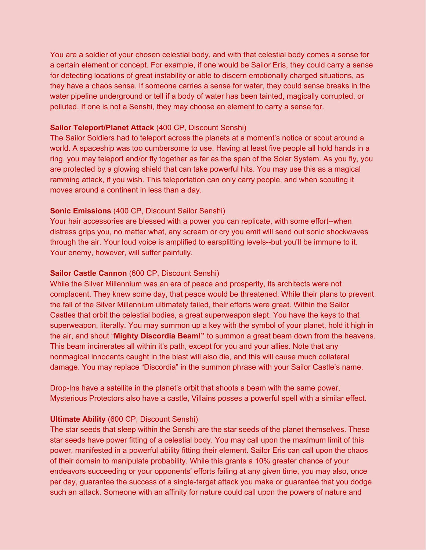You are a soldier of your chosen celestial body, and with that celestial body comes a sense for a certain element or concept. For example, if one would be Sailor Eris, they could carry a sense for detecting locations of great instability or able to discern emotionally charged situations, as they have a chaos sense. If someone carries a sense for water, they could sense breaks in the water pipeline underground or tell if a body of water has been tainted, magically corrupted, or polluted. If one is not a Senshi, they may choose an element to carry a sense for.

#### **Sailor Teleport/Planet Attack** (400 CP, Discount Senshi)

The Sailor Soldiers had to teleport across the planets at a moment's notice or scout around a world. A spaceship was too cumbersome to use. Having at least five people all hold hands in a ring, you may teleport and/or fly together as far as the span of the Solar System. As you fly, you are protected by a glowing shield that can take powerful hits. You may use this as a magical ramming attack, if you wish. This teleportation can only carry people, and when scouting it moves around a continent in less than a day.

#### **Sonic Emissions** (400 CP, Discount Sailor Senshi)

Your hair accessories are blessed with a power you can replicate, with some effort--when distress grips you, no matter what, any scream or cry you emit will send out sonic shockwaves through the air. Your loud voice is amplified to earsplitting levels--but you'll be immune to it. Your enemy, however, will suffer painfully.

#### **Sailor Castle Cannon** (600 CP, Discount Senshi)

While the Silver Millennium was an era of peace and prosperity, its architects were not complacent. They knew some day, that peace would be threatened. While their plans to prevent the fall of the Silver Millennium ultimately failed, their efforts were great. Within the Sailor Castles that orbit the celestial bodies, a great superweapon slept. You have the keys to that superweapon, literally. You may summon up a key with the symbol of your planet, hold it high in the air, and shout "**Mighty Discordia Beam!"** to summon a great beam down from the heavens. This beam incinerates all within it's path, except for you and your allies. Note that any nonmagical innocents caught in the blast will also die, and this will cause much collateral damage. You may replace "Discordia" in the summon phrase with your Sailor Castle's name.

Drop-Ins have a satellite in the planet's orbit that shoots a beam with the same power, Mysterious Protectors also have a castle, Villains posses a powerful spell with a similar effect.

#### **Ultimate Ability** (600 CP, Discount Senshi)

The star seeds that sleep within the Senshi are the star seeds of the planet themselves. These star seeds have power fitting of a celestial body. You may call upon the maximum limit of this power, manifested in a powerful ability fitting their element. Sailor Eris can call upon the chaos of their domain to manipulate probability. While this grants a 10% greater chance of your endeavors succeeding or your opponents' efforts failing at any given time, you may also, once per day, guarantee the success of a single-target attack you make or guarantee that you dodge such an attack. Someone with an affinity for nature could call upon the powers of nature and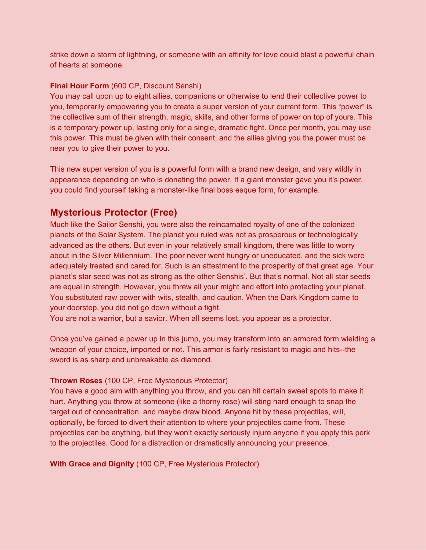strike down a storm of lightning, or someone with an affinity for love could blast a powerful chain of hearts at someone.

# **Final Hour Form** (600 CP, Discount Senshi)

You may call upon up to eight allies, companions or otherwise to lend their collective power to you, temporarily empowering you to create a super version of your current form. This "power" is the collective sum of their strength, magic, skills, and other forms of power on top of yours. This is a temporary power up, lasting only for a single, dramatic fight. Once per month, you may use this power. This must be given with their consent, and the allies giving you the power must be near you to give their power to you.

This new super version of you is a powerful form with a brand new design, and vary wildly in appearance depending on who is donating the power. If a giant monster gave you it's power, you could find yourself taking a monster-like final boss esque form, for example.

# **Mysterious Protector (Free)**

Much like the Sailor Senshi, you were also the reincarnated royalty of one of the colonized planets of the Solar System. The planet you ruled was not as prosperous or technologically advanced as the others. But even in your relatively small kingdom, there was little to worry about in the Silver Millennium. The poor never went hungry or uneducated, and the sick were adequately treated and cared for. Such is an attestment to the prosperity of that great age. Your planet's star seed was not as strong as the other Senshis'. But that's normal. Not all star seeds are equal in strength. However, you threw all your might and effort into protecting your planet. You substituted raw power with wits, stealth, and caution. When the Dark Kingdom came to your doorstep, you did not go down without a fight.

You are not a warrior, but a savior. When all seems lost, you appear as a protector.

Once you've gained a power up in this jump, you may transform into an armored form wielding a weapon of your choice, imported or not. This armor is fairly resistant to magic and hits--the sword is as sharp and unbreakable as diamond.

# **Thrown Roses** (100 CP, Free Mysterious Protector)

You have a good aim with anything you throw, and you can hit certain sweet spots to make it hurt. Anything you throw at someone (like a thorny rose) will sting hard enough to snap the target out of concentration, and maybe draw blood. Anyone hit by these projectiles, will, optionally, be forced to divert their attention to where your projectiles came from. These projectiles can be anything, but they won't exactly seriously injure anyone if you apply this perk to the projectiles. Good for a distraction or dramatically announcing your presence.

**With Grace and Dignity** (100 CP, Free Mysterious Protector)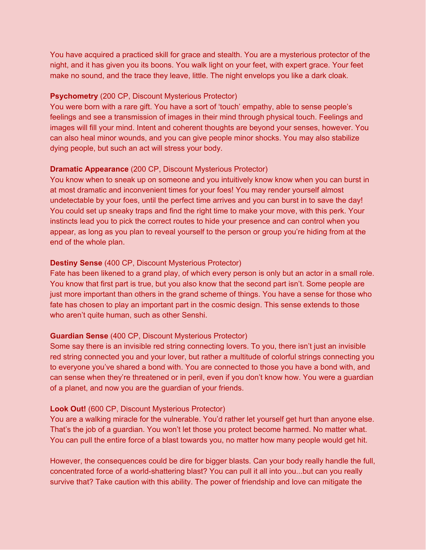You have acquired a practiced skill for grace and stealth. You are a mysterious protector of the night, and it has given you its boons. You walk light on your feet, with expert grace. Your feet make no sound, and the trace they leave, little. The night envelops you like a dark cloak.

#### **Psychometry** (200 CP, Discount Mysterious Protector)

You were born with a rare gift. You have a sort of 'touch' empathy, able to sense people's feelings and see a transmission of images in their mind through physical touch. Feelings and images will fill your mind. Intent and coherent thoughts are beyond your senses, however. You can also heal minor wounds, and you can give people minor shocks. You may also stabilize dying people, but such an act will stress your body.

#### **Dramatic Appearance** (200 CP, Discount Mysterious Protector)

You know when to sneak up on someone and you intuitively know know when you can burst in at most dramatic and inconvenient times for your foes! You may render yourself almost undetectable by your foes, until the perfect time arrives and you can burst in to save the day! You could set up sneaky traps and find the right time to make your move, with this perk. Your instincts lead you to pick the correct routes to hide your presence and can control when you appear, as long as you plan to reveal yourself to the person or group you're hiding from at the end of the whole plan.

#### **Destiny Sense** (400 CP, Discount Mysterious Protector)

Fate has been likened to a grand play, of which every person is only but an actor in a small role. You know that first part is true, but you also know that the second part isn't. Some people are just more important than others in the grand scheme of things. You have a sense for those who fate has chosen to play an important part in the cosmic design. This sense extends to those who aren't quite human, such as other Senshi.

#### **Guardian Sense** (400 CP, Discount Mysterious Protector)

Some say there is an invisible red string connecting lovers. To you, there isn't just an invisible red string connected you and your lover, but rather a multitude of colorful strings connecting you to everyone you've shared a bond with. You are connected to those you have a bond with, and can sense when they're threatened or in peril, even if you don't know how. You were a guardian of a planet, and now you are the guardian of your friends.

#### **Look Out!** (600 CP, Discount Mysterious Protector)

You are a walking miracle for the vulnerable. You'd rather let yourself get hurt than anyone else. That's the job of a guardian. You won't let those you protect become harmed. No matter what. You can pull the entire force of a blast towards you, no matter how many people would get hit.

However, the consequences could be dire for bigger blasts. Can your body really handle the full, concentrated force of a world-shattering blast? You can pull it all into you...but can you really survive that? Take caution with this ability. The power of friendship and love can mitigate the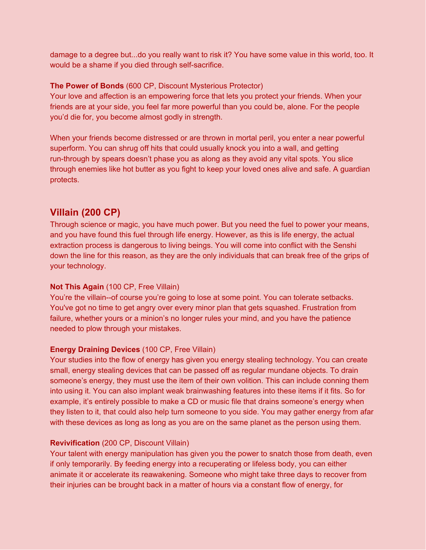damage to a degree but...do you really want to risk it? You have some value in this world, too. It would be a shame if you died through self-sacrifice.

#### **The Power of Bonds** (600 CP, Discount Mysterious Protector)

Your love and affection is an empowering force that lets you protect your friends. When your friends are at your side, you feel far more powerful than you could be, alone. For the people you'd die for, you become almost godly in strength.

When your friends become distressed or are thrown in mortal peril, you enter a near powerful superform. You can shrug off hits that could usually knock you into a wall, and getting run-through by spears doesn't phase you as along as they avoid any vital spots. You slice through enemies like hot butter as you fight to keep your loved ones alive and safe. A guardian protects.

# **Villain (200 CP)**

Through science or magic, you have much power. But you need the fuel to power your means, and you have found this fuel through life energy. However, as this is life energy, the actual extraction process is dangerous to living beings. You will come into conflict with the Senshi down the line for this reason, as they are the only individuals that can break free of the grips of your technology.

# **Not This Again** (100 CP, Free Villain)

You're the villain--of course you're going to lose at some point. You can tolerate setbacks. You've got no time to get angry over every minor plan that gets squashed. Frustration from failure, whether yours or a minion's no longer rules your mind, and you have the patience needed to plow through your mistakes.

# **Energy Draining Devices** (100 CP, Free Villain)

Your studies into the flow of energy has given you energy stealing technology. You can create small, energy stealing devices that can be passed off as regular mundane objects. To drain someone's energy, they must use the item of their own volition. This can include conning them into using it. You can also implant weak brainwashing features into these items if it fits. So for example, it's entirely possible to make a CD or music file that drains someone's energy when they listen to it, that could also help turn someone to you side. You may gather energy from afar with these devices as long as long as you are on the same planet as the person using them.

#### **Revivification** (200 CP, Discount Villain)

Your talent with energy manipulation has given you the power to snatch those from death, even if only temporarily. By feeding energy into a recuperating or lifeless body, you can either animate it or accelerate its reawakening. Someone who might take three days to recover from their injuries can be brought back in a matter of hours via a constant flow of energy, for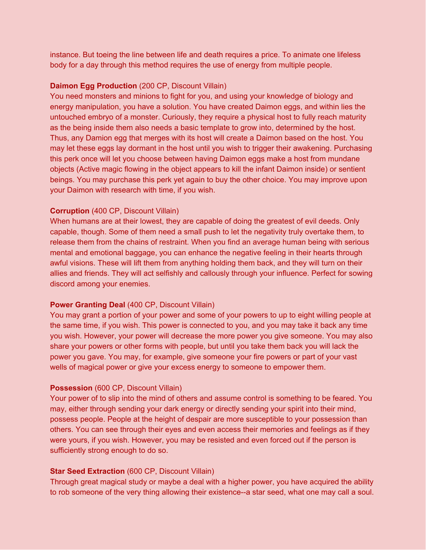instance. But toeing the line between life and death requires a price. To animate one lifeless body for a day through this method requires the use of energy from multiple people.

### **Daimon Egg Production** (200 CP, Discount Villain)

You need monsters and minions to fight for you, and using your knowledge of biology and energy manipulation, you have a solution. You have created Daimon eggs, and within lies the untouched embryo of a monster. Curiously, they require a physical host to fully reach maturity as the being inside them also needs a basic template to grow into, determined by the host. Thus, any Damion egg that merges with its host will create a Daimon based on the host. You may let these eggs lay dormant in the host until you wish to trigger their awakening. Purchasing this perk once will let you choose between having Daimon eggs make a host from mundane objects (Active magic flowing in the object appears to kill the infant Daimon inside) or sentient beings. You may purchase this perk yet again to buy the other choice. You may improve upon your Daimon with research with time, if you wish.

### **Corruption** (400 CP, Discount Villain)

When humans are at their lowest, they are capable of doing the greatest of evil deeds. Only capable, though. Some of them need a small push to let the negativity truly overtake them, to release them from the chains of restraint. When you find an average human being with serious mental and emotional baggage, you can enhance the negative feeling in their hearts through awful visions. These will lift them from anything holding them back, and they will turn on their allies and friends. They will act selfishly and callously through your influence. Perfect for sowing discord among your enemies.

# **Power Granting Deal** (400 CP, Discount Villain)

You may grant a portion of your power and some of your powers to up to eight willing people at the same time, if you wish. This power is connected to you, and you may take it back any time you wish. However, your power will decrease the more power you give someone. You may also share your powers or other forms with people, but until you take them back you will lack the power you gave. You may, for example, give someone your fire powers or part of your vast wells of magical power or give your excess energy to someone to empower them.

#### **Possession** (600 CP, Discount Villain)

Your power of to slip into the mind of others and assume control is something to be feared. You may, either through sending your dark energy or directly sending your spirit into their mind, possess people. People at the height of despair are more susceptible to your possession than others. You can see through their eyes and even access their memories and feelings as if they were yours, if you wish. However, you may be resisted and even forced out if the person is sufficiently strong enough to do so.

#### **Star Seed Extraction** (600 CP, Discount Villain)

Through great magical study or maybe a deal with a higher power, you have acquired the ability to rob someone of the very thing allowing their existence--a star seed, what one may call a soul.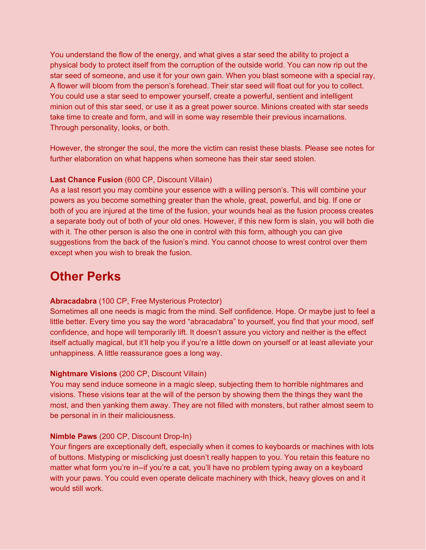You understand the flow of the energy, and what gives a star seed the ability to project a physical body to protect itself from the corruption of the outside world. You can now rip out the star seed of someone, and use it for your own gain. When you blast someone with a special ray, A flower will bloom from the person's forehead. Their star seed will float out for you to collect. You could use a star seed to empower yourself, create a powerful, sentient and intelligent minion out of this star seed, or use it as a great power source. Minions created with star seeds take time to create and form, and will in some way resemble their previous incarnations. Through personality, looks, or both.

However, the stronger the soul, the more the victim can resist these blasts. Please see notes for further elaboration on what happens when someone has their star seed stolen.

### **Last Chance Fusion** (600 CP, Discount Villain)

As a last resort you may combine your essence with a willing person's. This will combine your powers as you become something greater than the whole, great, powerful, and big. If one or both of you are injured at the time of the fusion, your wounds heal as the fusion process creates a separate body out of both of your old ones. However, if this new form is slain, you will both die with it. The other person is also the one in control with this form, although you can give suggestions from the back of the fusion's mind. You cannot choose to wrest control over them except when you wish to break the fusion.

# **Other Perks**

#### **Abracadabra** (100 CP, Free Mysterious Protector)

Sometimes all one needs is magic from the mind. Self confidence. Hope. Or maybe just to feel a little better. Every time you say the word "abracadabra" to yourself, you find that your mood, self confidence, and hope will temporarily lift. It doesn't assure you victory and neither is the effect itself actually magical, but it'll help you if you're a little down on yourself or at least alleviate your unhappiness. A little reassurance goes a long way.

#### **Nightmare Visions** (200 CP, Discount Villain)

You may send induce someone in a magic sleep, subjecting them to horrible nightmares and visions. These visions tear at the will of the person by showing them the things they want the most, and then yanking them away. They are not filled with monsters, but rather almost seem to be personal in in their maliciousness.

#### **Nimble Paws** (200 CP, Discount Drop-In)

Your fingers are exceptionally deft, especially when it comes to keyboards or machines with lots of buttons. Mistyping or misclicking just doesn't really happen to you. You retain this feature no matter what form you're in--if you're a cat, you'll have no problem typing away on a keyboard with your paws. You could even operate delicate machinery with thick, heavy gloves on and it would still work.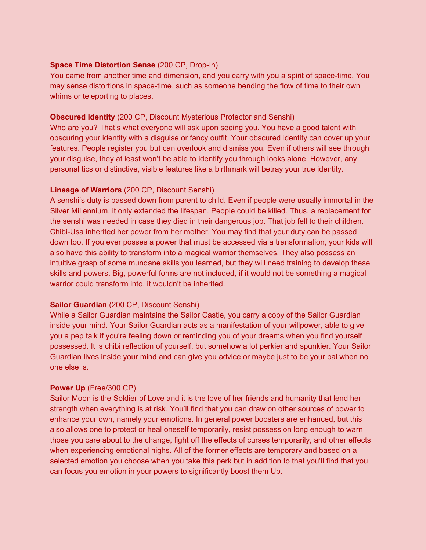#### **Space Time Distortion Sense** (200 CP, Drop-In)

You came from another time and dimension, and you carry with you a spirit of space-time. You may sense distortions in space-time, such as someone bending the flow of time to their own whims or teleporting to places.

### **Obscured Identity** (200 CP, Discount Mysterious Protector and Senshi)

Who are you? That's what everyone will ask upon seeing you. You have a good talent with obscuring your identity with a disguise or fancy outfit. Your obscured identity can cover up your features. People register you but can overlook and dismiss you. Even if others will see through your disguise, they at least won't be able to identify you through looks alone. However, any personal tics or distinctive, visible features like a birthmark will betray your true identity.

### **Lineage of Warriors** (200 CP, Discount Senshi)

A senshi's duty is passed down from parent to child. Even if people were usually immortal in the Silver Millennium, it only extended the lifespan. People could be killed. Thus, a replacement for the senshi was needed in case they died in their dangerous job. That job fell to their children. Chibi-Usa inherited her power from her mother. You may find that your duty can be passed down too. If you ever posses a power that must be accessed via a transformation, your kids will also have this ability to transform into a magical warrior themselves. They also possess an intuitive grasp of some mundane skills you learned, but they will need training to develop these skills and powers. Big, powerful forms are not included, if it would not be something a magical warrior could transform into, it wouldn't be inherited.

# **Sailor Guardian** (200 CP, Discount Senshi)

While a Sailor Guardian maintains the Sailor Castle, you carry a copy of the Sailor Guardian inside your mind. Your Sailor Guardian acts as a manifestation of your willpower, able to give you a pep talk if you're feeling down or reminding you of your dreams when you find yourself possessed. It is chibi reflection of yourself, but somehow a lot perkier and spunkier. Your Sailor Guardian lives inside your mind and can give you advice or maybe just to be your pal when no one else is.

# **Power Up** (Free/300 CP)

Sailor Moon is the Soldier of Love and it is the love of her friends and humanity that lend her strength when everything is at risk. You'll find that you can draw on other sources of power to enhance your own, namely your emotions. In general power boosters are enhanced, but this also allows one to protect or heal oneself temporarily, resist possession long enough to warn those you care about to the change, fight off the effects of curses temporarily, and other effects when experiencing emotional highs. All of the former effects are temporary and based on a selected emotion you choose when you take this perk but in addition to that you'll find that you can focus you emotion in your powers to significantly boost them Up.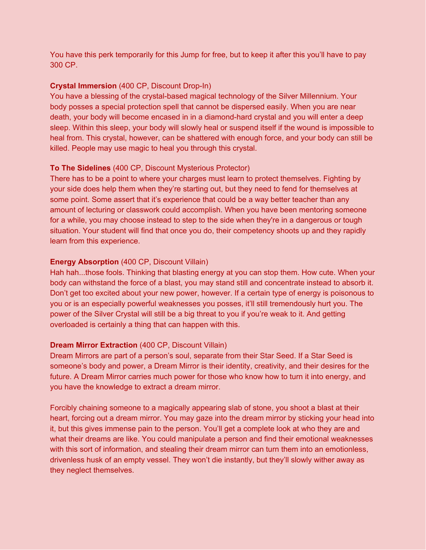You have this perk temporarily for this Jump for free, but to keep it after this you'll have to pay 300 CP.

### **Crystal Immersion** (400 CP, Discount Drop-In)

You have a blessing of the crystal-based magical technology of the Silver Millennium. Your body posses a special protection spell that cannot be dispersed easily. When you are near death, your body will become encased in in a diamond-hard crystal and you will enter a deep sleep. Within this sleep, your body will slowly heal or suspend itself if the wound is impossible to heal from. This crystal, however, can be shattered with enough force, and your body can still be killed. People may use magic to heal you through this crystal.

### **To The Sidelines** (400 CP, Discount Mysterious Protector)

There has to be a point to where your charges must learn to protect themselves. Fighting by your side does help them when they're starting out, but they need to fend for themselves at some point. Some assert that it's experience that could be a way better teacher than any amount of lecturing or classwork could accomplish. When you have been mentoring someone for a while, you may choose instead to step to the side when they're in a dangerous or tough situation. Your student will find that once you do, their competency shoots up and they rapidly learn from this experience.

### **Energy Absorption** (400 CP, Discount Villain)

Hah hah...those fools. Thinking that blasting energy at you can stop them. How cute. When your body can withstand the force of a blast, you may stand still and concentrate instead to absorb it. Don't get too excited about your new power, however. If a certain type of energy is poisonous to you or is an especially powerful weaknesses you posses, it'll still tremendously hurt you. The power of the Silver Crystal will still be a big threat to you if you're weak to it. And getting overloaded is certainly a thing that can happen with this.

#### **Dream Mirror Extraction** (400 CP, Discount Villain)

Dream Mirrors are part of a person's soul, separate from their Star Seed. If a Star Seed is someone's body and power, a Dream Mirror is their identity, creativity, and their desires for the future. A Dream Mirror carries much power for those who know how to turn it into energy, and you have the knowledge to extract a dream mirror.

Forcibly chaining someone to a magically appearing slab of stone, you shoot a blast at their heart, forcing out a dream mirror. You may gaze into the dream mirror by sticking your head into it, but this gives immense pain to the person. You'll get a complete look at who they are and what their dreams are like. You could manipulate a person and find their emotional weaknesses with this sort of information, and stealing their dream mirror can turn them into an emotionless, drivenless husk of an empty vessel. They won't die instantly, but they'll slowly wither away as they neglect themselves.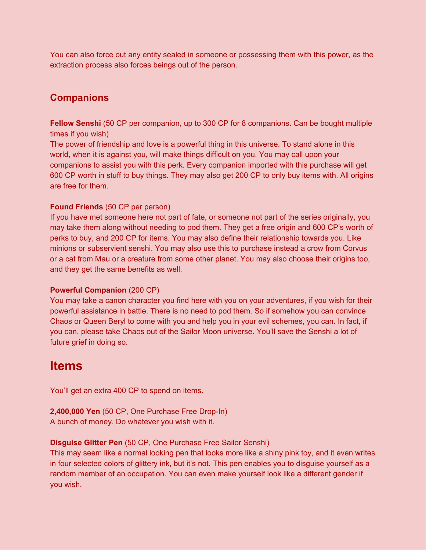You can also force out any entity sealed in someone or possessing them with this power, as the extraction process also forces beings out of the person.

# **Companions**

**Fellow Senshi** (50 CP per companion, up to 300 CP for 8 companions. Can be bought multiple times if you wish)

The power of friendship and love is a powerful thing in this universe. To stand alone in this world, when it is against you, will make things difficult on you. You may call upon your companions to assist you with this perk. Every companion imported with this purchase will get 600 CP worth in stuff to buy things. They may also get 200 CP to only buy items with. All origins are free for them.

### **Found Friends** (50 CP per person)

If you have met someone here not part of fate, or someone not part of the series originally, you may take them along without needing to pod them. They get a free origin and 600 CP's worth of perks to buy, and 200 CP for items. You may also define their relationship towards you. Like minions or subservient senshi. You may also use this to purchase instead a crow from Corvus or a cat from Mau or a creature from some other planet. You may also choose their origins too, and they get the same benefits as well.

#### **Powerful Companion** (200 CP)

You may take a canon character you find here with you on your adventures, if you wish for their powerful assistance in battle. There is no need to pod them. So if somehow you can convince Chaos or Queen Beryl to come with you and help you in your evil schemes, you can. In fact, if you can, please take Chaos out of the Sailor Moon universe. You'll save the Senshi a lot of future grief in doing so.

# **Items**

You'll get an extra 400 CP to spend on items.

**2,400,000 Yen** (50 CP, One Purchase Free Drop-In) A bunch of money. Do whatever you wish with it.

#### **Disguise Glitter Pen** (50 CP, One Purchase Free Sailor Senshi)

This may seem like a normal looking pen that looks more like a shiny pink toy, and it even writes in four selected colors of glittery ink, but it's not. This pen enables you to disguise yourself as a random member of an occupation. You can even make yourself look like a different gender if you wish.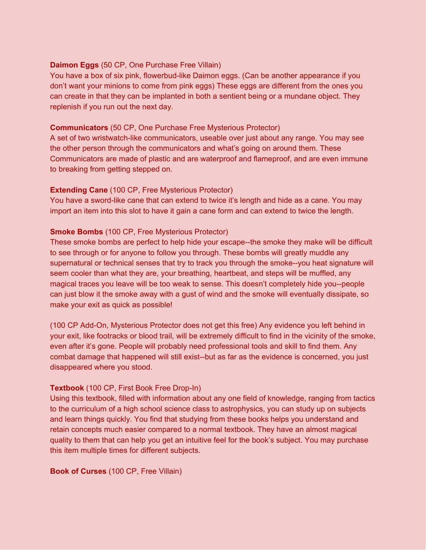#### **Daimon Eggs** (50 CP, One Purchase Free Villain)

You have a box of six pink, flowerbud-like Daimon eggs. (Can be another appearance if you don't want your minions to come from pink eggs) These eggs are different from the ones you can create in that they can be implanted in both a sentient being or a mundane object. They replenish if you run out the next day.

#### **Communicators** (50 CP, One Purchase Free Mysterious Protector)

A set of two wristwatch-like communicators, useable over just about any range. You may see the other person through the communicators and what's going on around them. These Communicators are made of plastic and are waterproof and flameproof, and are even immune to breaking from getting stepped on.

### **Extending Cane** (100 CP, Free Mysterious Protector)

You have a sword-like cane that can extend to twice it's length and hide as a cane. You may import an item into this slot to have it gain a cane form and can extend to twice the length.

### **Smoke Bombs** (100 CP, Free Mysterious Protector)

These smoke bombs are perfect to help hide your escape--the smoke they make will be difficult to see through or for anyone to follow you through. These bombs will greatly muddle any supernatural or technical senses that try to track you through the smoke--you heat signature will seem cooler than what they are, your breathing, heartbeat, and steps will be muffled, any magical traces you leave will be too weak to sense. This doesn't completely hide you--people can just blow it the smoke away with a gust of wind and the smoke will eventually dissipate, so make your exit as quick as possible!

(100 CP Add-On, Mysterious Protector does not get this free) Any evidence you left behind in your exit, like footracks or blood trail, will be extremely difficult to find in the vicinity of the smoke, even after it's gone. People will probably need professional tools and skill to find them. Any combat damage that happened will still exist--but as far as the evidence is concerned, you just disappeared where you stood.

#### **Textbook** (100 CP, First Book Free Drop-In)

Using this textbook, filled with information about any one field of knowledge, ranging from tactics to the curriculum of a high school science class to astrophysics, you can study up on subjects and learn things quickly. You find that studying from these books helps you understand and retain concepts much easier compared to a normal textbook. They have an almost magical quality to them that can help you get an intuitive feel for the book's subject. You may purchase this item multiple times for different subjects.

#### **Book of Curses** (100 CP, Free Villain)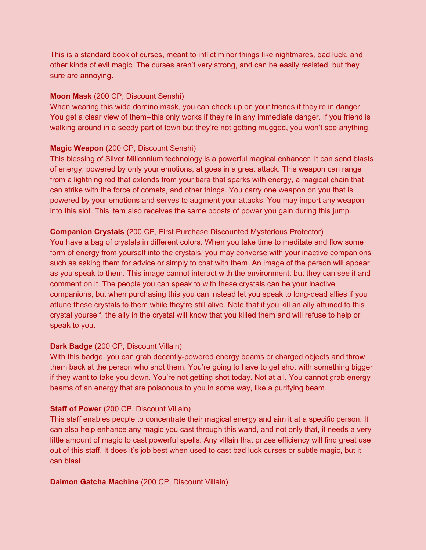This is a standard book of curses, meant to inflict minor things like nightmares, bad luck, and other kinds of evil magic. The curses aren't very strong, and can be easily resisted, but they sure are annoying.

#### **Moon Mask** (200 CP, Discount Senshi)

When wearing this wide domino mask, you can check up on your friends if they're in danger. You get a clear view of them--this only works if they're in any immediate danger. If you friend is walking around in a seedy part of town but they're not getting mugged, you won't see anything.

# **Magic Weapon** (200 CP, Discount Senshi)

This blessing of Silver Millennium technology is a powerful magical enhancer. It can send blasts of energy, powered by only your emotions, at goes in a great attack. This weapon can range from a lightning rod that extends from your tiara that sparks with energy, a magical chain that can strike with the force of comets, and other things. You carry one weapon on you that is powered by your emotions and serves to augment your attacks. You may import any weapon into this slot. This item also receives the same boosts of power you gain during this jump.

# **Companion Crystals** (200 CP, First Purchase Discounted Mysterious Protector)

You have a bag of crystals in different colors. When you take time to meditate and flow some form of energy from yourself into the crystals, you may converse with your inactive companions such as asking them for advice or simply to chat with them. An image of the person will appear as you speak to them. This image cannot interact with the environment, but they can see it and comment on it. The people you can speak to with these crystals can be your inactive companions, but when purchasing this you can instead let you speak to long-dead allies if you attune these crystals to them while they're still alive. Note that if you kill an ally attuned to this crystal yourself, the ally in the crystal will know that you killed them and will refuse to help or speak to you.

# **Dark Badge** (200 CP, Discount Villain)

With this badge, you can grab decently-powered energy beams or charged objects and throw them back at the person who shot them. You're going to have to get shot with something bigger if they want to take you down. You're not getting shot today. Not at all. You cannot grab energy beams of an energy that are poisonous to you in some way, like a purifying beam.

# **Staff of Power** (200 CP, Discount Villain)

This staff enables people to concentrate their magical energy and aim it at a specific person. It can also help enhance any magic you cast through this wand, and not only that, it needs a very little amount of magic to cast powerful spells. Any villain that prizes efficiency will find great use out of this staff. It does it's job best when used to cast bad luck curses or subtle magic, but it can blast

# **Daimon Gatcha Machine** (200 CP, Discount Villain)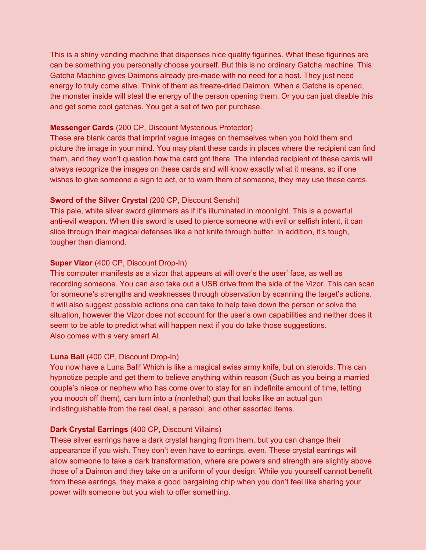This is a shiny vending machine that dispenses nice quality figurines. What these figurines are can be something you personally choose yourself. But this is no ordinary Gatcha machine. This Gatcha Machine gives Daimons already pre-made with no need for a host. They just need energy to truly come alive. Think of them as freeze-dried Daimon. When a Gatcha is opened, the monster inside will steal the energy of the person opening them. Or you can just disable this and get some cool gatchas. You get a set of two per purchase.

#### **Messenger Cards** (200 CP, Discount Mysterious Protector)

These are blank cards that imprint vague images on themselves when you hold them and picture the image in your mind. You may plant these cards in places where the recipient can find them, and they won't question how the card got there. The intended recipient of these cards will always recognize the images on these cards and will know exactly what it means, so if one wishes to give someone a sign to act, or to warn them of someone, they may use these cards.

#### **Sword of the Silver Crystal** (200 CP, Discount Senshi)

This pale, white silver sword glimmers as if it's illuminated in moonlight. This is a powerful anti-evil weapon. When this sword is used to pierce someone with evil or selfish intent, it can slice through their magical defenses like a hot knife through butter. In addition, it's tough, tougher than diamond.

### **Super Vizor** (400 CP, Discount Drop-In)

This computer manifests as a vizor that appears at will over's the user' face, as well as recording someone. You can also take out a USB drive from the side of the Vizor. This can scan for someone's strengths and weaknesses through observation by scanning the target's actions. It will also suggest possible actions one can take to help take down the person or solve the situation, however the Vizor does not account for the user's own capabilities and neither does it seem to be able to predict what will happen next if you do take those suggestions. Also comes with a very smart AI.

#### **Luna Ball** (400 CP, Discount Drop-In)

You now have a Luna Ball! Which is like a magical swiss army knife, but on steroids. This can hypnotize people and get them to believe anything within reason (Such as you being a married couple's niece or nephew who has come over to stay for an indefinite amount of time, letting you mooch off them), can turn into a (nonlethal) gun that looks like an actual gun indistinguishable from the real deal, a parasol, and other assorted items.

#### **Dark Crystal Earrings** (400 CP, Discount Villains)

These silver earrings have a dark crystal hanging from them, but you can change their appearance if you wish. They don't even have to earrings, even. These crystal earrings will allow someone to take a dark transformation, where are powers and strength are slightly above those of a Daimon and they take on a uniform of your design. While you yourself cannot benefit from these earrings, they make a good bargaining chip when you don't feel like sharing your power with someone but you wish to offer something.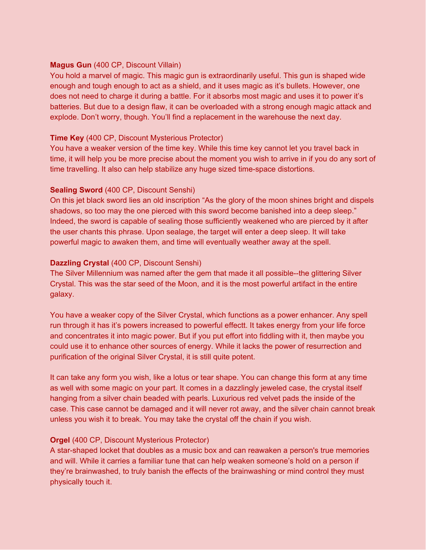#### **Magus Gun** (400 CP, Discount Villain)

You hold a marvel of magic. This magic gun is extraordinarily useful. This gun is shaped wide enough and tough enough to act as a shield, and it uses magic as it's bullets. However, one does not need to charge it during a battle. For it absorbs most magic and uses it to power it's batteries. But due to a design flaw, it can be overloaded with a strong enough magic attack and explode. Don't worry, though. You'll find a replacement in the warehouse the next day.

### **Time Key** (400 CP, Discount Mysterious Protector)

You have a weaker version of the time key. While this time key cannot let you travel back in time, it will help you be more precise about the moment you wish to arrive in if you do any sort of time travelling. It also can help stabilize any huge sized time-space distortions.

### **Sealing Sword** (400 CP, Discount Senshi)

On this jet black sword lies an old inscription "As the glory of the moon shines bright and dispels shadows, so too may the one pierced with this sword become banished into a deep sleep." Indeed, the sword is capable of sealing those sufficiently weakened who are pierced by it after the user chants this phrase. Upon sealage, the target will enter a deep sleep. It will take powerful magic to awaken them, and time will eventually weather away at the spell.

### **Dazzling Crystal** (400 CP, Discount Senshi)

The Silver Millennium was named after the gem that made it all possible--the glittering Silver Crystal. This was the star seed of the Moon, and it is the most powerful artifact in the entire galaxy.

You have a weaker copy of the Silver Crystal, which functions as a power enhancer. Any spell run through it has it's powers increased to powerful effectt. It takes energy from your life force and concentrates it into magic power. But if you put effort into fiddling with it, then maybe you could use it to enhance other sources of energy. While it lacks the power of resurrection and purification of the original Silver Crystal, it is still quite potent.

It can take any form you wish, like a lotus or tear shape. You can change this form at any time as well with some magic on your part. It comes in a dazzlingly jeweled case, the crystal itself hanging from a silver chain beaded with pearls. Luxurious red velvet pads the inside of the case. This case cannot be damaged and it will never rot away, and the silver chain cannot break unless you wish it to break. You may take the crystal off the chain if you wish.

# **Orgel** (400 CP, Discount Mysterious Protector)

A star-shaped locket that doubles as a music box and can reawaken a person's true memories and will. While it carries a familiar tune that can help weaken someone's hold on a person if they're brainwashed, to truly banish the effects of the brainwashing or mind control they must physically touch it.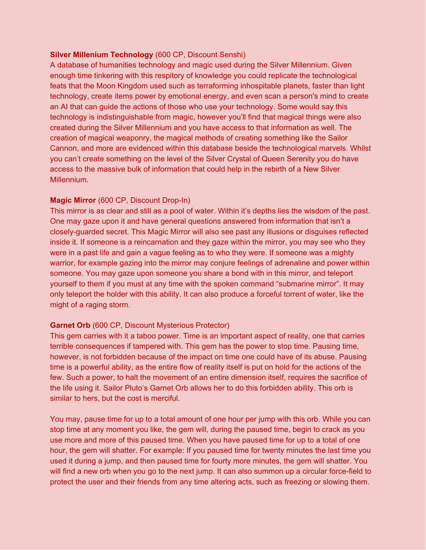#### **Silver Millenium Technology** (600 CP, Discount Senshi)

A database of humanities technology and magic used during the Silver Millennium. Given enough time tinkering with this respitory of knowledge you could replicate the technological feats that the Moon Kingdom used such as terraforming inhospitable planets, faster than light technology, create items power by emotional energy, and even scan a person's mind to create an AI that can guide the actions of those who use your technology. Some would say this technology is indistinguishable from magic, however you'll find that magical things were also created during the Silver Millennium and you have access to that information as well. The creation of magical weaponry, the magical methods of creating something like the Sailor Cannon, and more are evidenced within this database beside the technological marvels. Whilst you can't create something on the level of the Silver Crystal of Queen Serenity you do have access to the massive bulk of information that could help in the rebirth of a New Silver Millennium.

#### **Magic Mirror** (600 CP, Discount Drop-In)

This mirror is as clear and still as a pool of water. Within it's depths lies the wisdom of the past. One may gaze upon it and have general questions answered from information that isn't a closely-guarded secret. This Magic Mirror will also see past any illusions or disguises reflected inside it. If someone is a reincarnation and they gaze within the mirror, you may see who they were in a past life and gain a vague feeling as to who they were. If someone was a mighty warrior, for example gazing into the mirror may conjure feelings of adrenaline and power within someone. You may gaze upon someone you share a bond with in this mirror, and teleport yourself to them if you must at any time with the spoken command "submarine mirror". It may only teleport the holder with this ability. It can also produce a forceful torrent of water, like the might of a raging storm.

#### **Garnet Orb** (600 CP, Discount Mysterious Protector)

This gem carries with it a taboo power. Time is an important aspect of reality, one that carries terrible consequences if tampered with. This gem has the power to stop time. Pausing time, however, is not forbidden because of the impact on time one could have of its abuse. Pausing time is a powerful ability, as the entire flow of reality itself is put on hold for the actions of the few. Such a power, to halt the movement of an entire dimension itself, requires the sacrifice of the life using it. Sailor Pluto's Garnet Orb allows her to do this forbidden ability. This orb is similar to hers, but the cost is merciful.

You may, pause time for up to a total amount of one hour per jump with this orb. While you can stop time at any moment you like, the gem will, during the paused time, begin to crack as you use more and more of this paused time. When you have paused time for up to a total of one hour, the gem will shatter. For example: If you paused time for twenty minutes the last time you used it during a jump, and then paused time for fourty more minutes, the gem will shatter. You will find a new orb when you go to the next jump. It can also summon up a circular force-field to protect the user and their friends from any time altering acts, such as freezing or slowing them.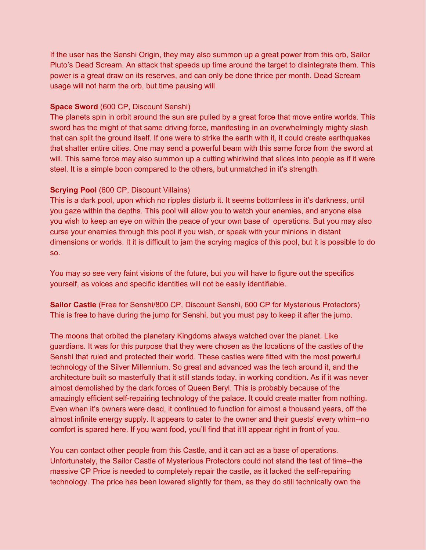If the user has the Senshi Origin, they may also summon up a great power from this orb, Sailor Pluto's Dead Scream. An attack that speeds up time around the target to disintegrate them. This power is a great draw on its reserves, and can only be done thrice per month. Dead Scream usage will not harm the orb, but time pausing will.

#### **Space Sword** (600 CP, Discount Senshi)

The planets spin in orbit around the sun are pulled by a great force that move entire worlds. This sword has the might of that same driving force, manifesting in an overwhelmingly mighty slash that can split the ground itself. If one were to strike the earth with it, it could create earthquakes that shatter entire cities. One may send a powerful beam with this same force from the sword at will. This same force may also summon up a cutting whirlwind that slices into people as if it were steel. It is a simple boon compared to the others, but unmatched in it's strength.

#### **Scrying Pool** (600 CP, Discount Villains)

This is a dark pool, upon which no ripples disturb it. It seems bottomless in it's darkness, until you gaze within the depths. This pool will allow you to watch your enemies, and anyone else you wish to keep an eye on within the peace of your own base of operations. But you may also curse your enemies through this pool if you wish, or speak with your minions in distant dimensions or worlds. It it is difficult to jam the scrying magics of this pool, but it is possible to do so.

You may so see very faint visions of the future, but you will have to figure out the specifics yourself, as voices and specific identities will not be easily identifiable.

**Sailor Castle** (Free for Senshi/800 CP, Discount Senshi, 600 CP for Mysterious Protectors) This is free to have during the jump for Senshi, but you must pay to keep it after the jump.

The moons that orbited the planetary Kingdoms always watched over the planet. Like guardians. It was for this purpose that they were chosen as the locations of the castles of the Senshi that ruled and protected their world. These castles were fitted with the most powerful technology of the Silver Millennium. So great and advanced was the tech around it, and the architecture built so masterfully that it still stands today, in working condition. As if it was never almost demolished by the dark forces of Queen Beryl. This is probably because of the amazingly efficient self-repairing technology of the palace. It could create matter from nothing. Even when it's owners were dead, it continued to function for almost a thousand years, off the almost infinite energy supply. It appears to cater to the owner and their guests' every whim--no comfort is spared here. If you want food, you'll find that it'll appear right in front of you.

You can contact other people from this Castle, and it can act as a base of operations. Unfortunately, the Sailor Castle of Mysterious Protectors could not stand the test of time--the massive CP Price is needed to completely repair the castle, as it lacked the self-repairing technology. The price has been lowered slightly for them, as they do still technically own the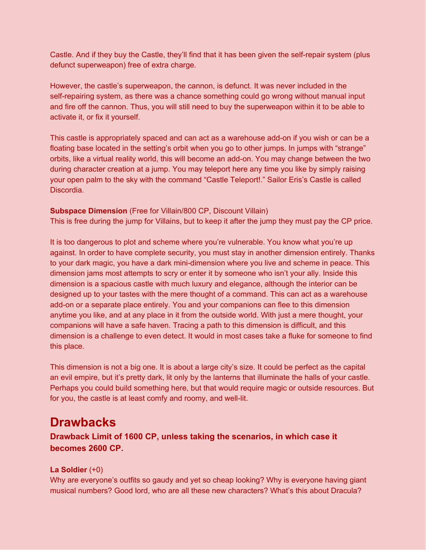Castle. And if they buy the Castle, they'll find that it has been given the self-repair system (plus defunct superweapon) free of extra charge.

However, the castle's superweapon, the cannon, is defunct. It was never included in the self-repairing system, as there was a chance something could go wrong without manual input and fire off the cannon. Thus, you will still need to buy the superweapon within it to be able to activate it, or fix it yourself.

This castle is appropriately spaced and can act as a warehouse add-on if you wish or can be a floating base located in the setting's orbit when you go to other jumps. In jumps with "strange" orbits, like a virtual reality world, this will become an add-on. You may change between the two during character creation at a jump. You may teleport here any time you like by simply raising your open palm to the sky with the command "Castle Teleport!." Sailor Eris's Castle is called Discordia.

# **Subspace Dimension** (Free for Villain/800 CP, Discount Villain)

This is free during the jump for Villains, but to keep it after the jump they must pay the CP price.

It is too dangerous to plot and scheme where you're vulnerable. You know what you're up against. In order to have complete security, you must stay in another dimension entirely. Thanks to your dark magic, you have a dark mini-dimension where you live and scheme in peace. This dimension jams most attempts to scry or enter it by someone who isn't your ally. Inside this dimension is a spacious castle with much luxury and elegance, although the interior can be designed up to your tastes with the mere thought of a command. This can act as a warehouse add-on or a separate place entirely. You and your companions can flee to this dimension anytime you like, and at any place in it from the outside world. With just a mere thought, your companions will have a safe haven. Tracing a path to this dimension is difficult, and this dimension is a challenge to even detect. It would in most cases take a fluke for someone to find this place.

This dimension is not a big one. It is about a large city's size. It could be perfect as the capital an evil empire, but it's pretty dark, lit only by the lanterns that illuminate the halls of your castle. Perhaps you could build something here, but that would require magic or outside resources. But for you, the castle is at least comfy and roomy, and well-lit.

# **Drawbacks**

**Drawback Limit of 1600 CP, unless taking the scenarios, in which case it becomes 2600 CP.**

# **La Soldier** (+0)

Why are everyone's outfits so gaudy and yet so cheap looking? Why is everyone having giant musical numbers? Good lord, who are all these new characters? What's this about Dracula?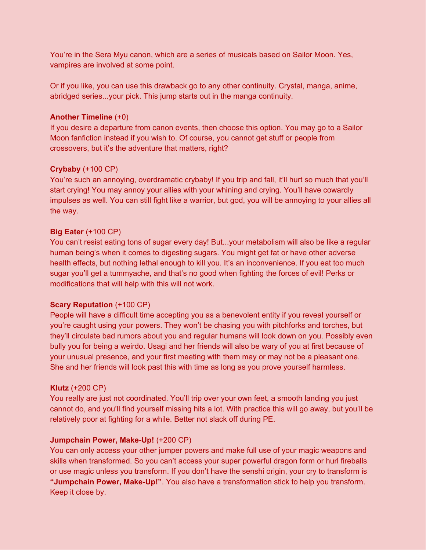You're in the Sera Myu canon, which are a series of musicals based on Sailor Moon. Yes, vampires are involved at some point.

Or if you like, you can use this drawback go to any other continuity. Crystal, manga, anime, abridged series...your pick. This jump starts out in the manga continuity.

#### **Another Timeline** (+0)

If you desire a departure from canon events, then choose this option. You may go to a Sailor Moon fanfiction instead if you wish to. Of course, you cannot get stuff or people from crossovers, but it's the adventure that matters, right?

#### **Crybaby** (+100 CP)

You're such an annoying, overdramatic crybaby! If you trip and fall, it'll hurt so much that you'll start crying! You may annoy your allies with your whining and crying. You'll have cowardly impulses as well. You can still fight like a warrior, but god, you will be annoying to your allies all the way.

#### **Big Eater** (+100 CP)

You can't resist eating tons of sugar every day! But...your metabolism will also be like a regular human being's when it comes to digesting sugars. You might get fat or have other adverse health effects, but nothing lethal enough to kill you. It's an inconvenience. If you eat too much sugar you'll get a tummyache, and that's no good when fighting the forces of evil! Perks or modifications that will help with this will not work.

#### **Scary Reputation** (+100 CP)

People will have a difficult time accepting you as a benevolent entity if you reveal yourself or you're caught using your powers. They won't be chasing you with pitchforks and torches, but they'll circulate bad rumors about you and regular humans will look down on you. Possibly even bully you for being a weirdo. Usagi and her friends will also be wary of you at first because of your unusual presence, and your first meeting with them may or may not be a pleasant one. She and her friends will look past this with time as long as you prove yourself harmless.

#### **Klutz** (+200 CP)

You really are just not coordinated. You'll trip over your own feet, a smooth landing you just cannot do, and you'll find yourself missing hits a lot. With practice this will go away, but you'll be relatively poor at fighting for a while. Better not slack off during PE.

#### **Jumpchain Power, Make-Up!** (+200 CP)

You can only access your other jumper powers and make full use of your magic weapons and skills when transformed. So you can't access your super powerful dragon form or hurl fireballs or use magic unless you transform. If you don't have the senshi origin, your cry to transform is **"Jumpchain Power, Make-Up!"**. You also have a transformation stick to help you transform. Keep it close by.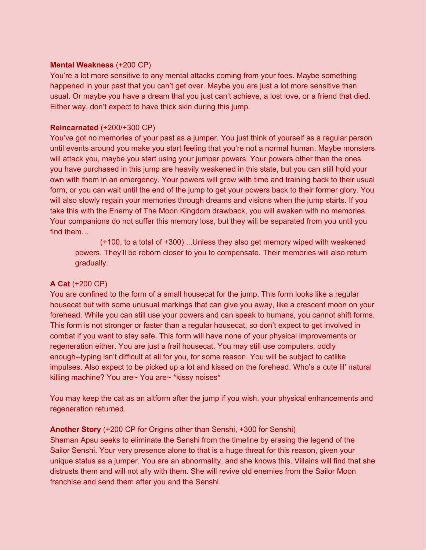#### **Mental Weakness** (+200 CP)

You're a lot more sensitive to any mental attacks coming from your foes. Maybe something happened in your past that you can't get over. Maybe you are just a lot more sensitive than usual. Or maybe you have a dream that you just can't achieve, a lost love, or a friend that died. Either way, don't expect to have thick skin during this jump.

#### **Reincarnated** (+200/+300 CP)

You've got no memories of your past as a jumper. You just think of yourself as a regular person until events around you make you start feeling that you're not a normal human. Maybe monsters will attack you, maybe you start using your jumper powers. Your powers other than the ones you have purchased in this jump are heavily weakened in this state, but you can still hold your own with them in an emergency. Your powers will grow with time and training back to their usual form, or you can wait until the end of the jump to get your powers back to their former glory. You will also slowly regain your memories through dreams and visions when the jump starts. If you take this with the Enemy of The Moon Kingdom drawback, you will awaken with no memories. Your companions do not suffer this memory loss, but they will be separated from you until you find them…

(+100, to a total of +300) ...Unless they also get memory wiped with weakened powers. They'll be reborn closer to you to compensate. Their memories will also return gradually.

#### **A Cat** (+200 CP)

You are confined to the form of a small housecat for the jump. This form looks like a regular housecat but with some unusual markings that can give you away, like a crescent moon on your forehead. While you can still use your powers and can speak to humans, you cannot shift forms. This form is not stronger or faster than a regular housecat, so don't expect to get involved in combat if you want to stay safe. This form will have none of your physical improvements or regeneration either. You are just a frail housecat. You may still use computers, oddly enough--typing isn't difficult at all for you, for some reason. You will be subject to catlike impulses. Also expect to be picked up a lot and kissed on the forehead. Who's a cute lil' natural killing machine? You are~ You are~ \*kissy noises\*

You may keep the cat as an altform after the jump if you wish, your physical enhancements and regeneration returned.

#### **Another Story** (+200 CP for Origins other than Senshi, +300 for Senshi)

Shaman Apsu seeks to eliminate the Senshi from the timeline by erasing the legend of the Sailor Senshi. Your very presence alone to that is a huge threat for this reason, given your unique status as a jumper. You are an abnormality, and she knows this. Villains will find that she distrusts them and will not ally with them. She will revive old enemies from the Sailor Moon franchise and send them after you and the Senshi.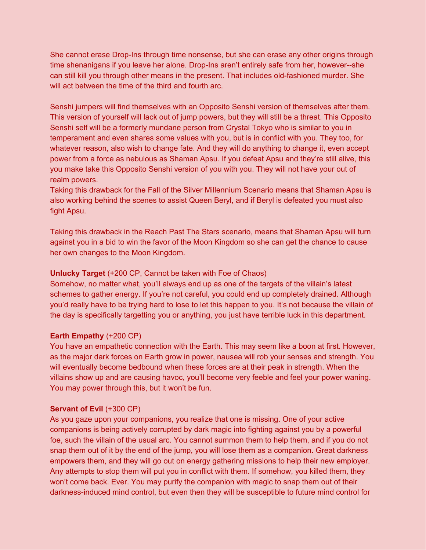She cannot erase Drop-Ins through time nonsense, but she can erase any other origins through time shenanigans if you leave her alone. Drop-Ins aren't entirely safe from her, however--she can still kill you through other means in the present. That includes old-fashioned murder. She will act between the time of the third and fourth arc.

Senshi jumpers will find themselves with an Opposito Senshi version of themselves after them. This version of yourself will lack out of jump powers, but they will still be a threat. This Opposito Senshi self will be a formerly mundane person from Crystal Tokyo who is similar to you in temperament and even shares some values with you, but is in conflict with you. They too, for whatever reason, also wish to change fate. And they will do anything to change it, even accept power from a force as nebulous as Shaman Apsu. If you defeat Apsu and they're still alive, this you make take this Opposito Senshi version of you with you. They will not have your out of realm powers.

Taking this drawback for the Fall of the Silver Millennium Scenario means that Shaman Apsu is also working behind the scenes to assist Queen Beryl, and if Beryl is defeated you must also fight Apsu.

Taking this drawback in the Reach Past The Stars scenario, means that Shaman Apsu will turn against you in a bid to win the favor of the Moon Kingdom so she can get the chance to cause her own changes to the Moon Kingdom.

#### **Unlucky Target** (+200 CP, Cannot be taken with Foe of Chaos)

Somehow, no matter what, you'll always end up as one of the targets of the villain's latest schemes to gather energy. If you're not careful, you could end up completely drained. Although you'd really have to be trying hard to lose to let this happen to you. It's not because the villain of the day is specifically targetting you or anything, you just have terrible luck in this department.

#### **Earth Empathy** (+200 CP)

You have an empathetic connection with the Earth. This may seem like a boon at first. However, as the major dark forces on Earth grow in power, nausea will rob your senses and strength. You will eventually become bedbound when these forces are at their peak in strength. When the villains show up and are causing havoc, you'll become very feeble and feel your power waning. You may power through this, but it won't be fun.

#### **Servant of Evil** (+300 CP)

As you gaze upon your companions, you realize that one is missing. One of your active companions is being actively corrupted by dark magic into fighting against you by a powerful foe, such the villain of the usual arc. You cannot summon them to help them, and if you do not snap them out of it by the end of the jump, you will lose them as a companion. Great darkness empowers them, and they will go out on energy gathering missions to help their new employer. Any attempts to stop them will put you in conflict with them. If somehow, you killed them, they won't come back. Ever. You may purify the companion with magic to snap them out of their darkness-induced mind control, but even then they will be susceptible to future mind control for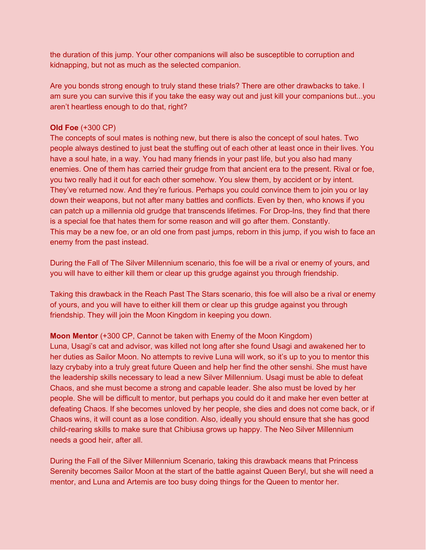the duration of this jump. Your other companions will also be susceptible to corruption and kidnapping, but not as much as the selected companion.

Are you bonds strong enough to truly stand these trials? There are other drawbacks to take. I am sure you can survive this if you take the easy way out and just kill your companions but...you aren't heartless enough to do that, right?

#### **Old Foe** (+300 CP)

The concepts of soul mates is nothing new, but there is also the concept of soul hates. Two people always destined to just beat the stuffing out of each other at least once in their lives. You have a soul hate, in a way. You had many friends in your past life, but you also had many enemies. One of them has carried their grudge from that ancient era to the present. Rival or foe, you two really had it out for each other somehow. You slew them, by accident or by intent. They've returned now. And they're furious. Perhaps you could convince them to join you or lay down their weapons, but not after many battles and conflicts. Even by then, who knows if you can patch up a millennia old grudge that transcends lifetimes. For Drop-Ins, they find that there is a special foe that hates them for some reason and will go after them. Constantly. This may be a new foe, or an old one from past jumps, reborn in this jump, if you wish to face an enemy from the past instead.

During the Fall of The Silver Millennium scenario, this foe will be a rival or enemy of yours, and you will have to either kill them or clear up this grudge against you through friendship.

Taking this drawback in the Reach Past The Stars scenario, this foe will also be a rival or enemy of yours, and you will have to either kill them or clear up this grudge against you through friendship. They will join the Moon Kingdom in keeping you down.

# **Moon Mentor** (+300 CP, Cannot be taken with Enemy of the Moon Kingdom)

Luna, Usagi's cat and advisor, was killed not long after she found Usagi and awakened her to her duties as Sailor Moon. No attempts to revive Luna will work, so it's up to you to mentor this lazy crybaby into a truly great future Queen and help her find the other senshi. She must have the leadership skills necessary to lead a new Silver Millennium. Usagi must be able to defeat Chaos, and she must become a strong and capable leader. She also must be loved by her people. She will be difficult to mentor, but perhaps you could do it and make her even better at defeating Chaos. If she becomes unloved by her people, she dies and does not come back, or if Chaos wins, it will count as a lose condition. Also, ideally you should ensure that she has good child-rearing skills to make sure that Chibiusa grows up happy. The Neo Silver Millennium needs a good heir, after all.

During the Fall of the Silver Millennium Scenario, taking this drawback means that Princess Serenity becomes Sailor Moon at the start of the battle against Queen Beryl, but she will need a mentor, and Luna and Artemis are too busy doing things for the Queen to mentor her.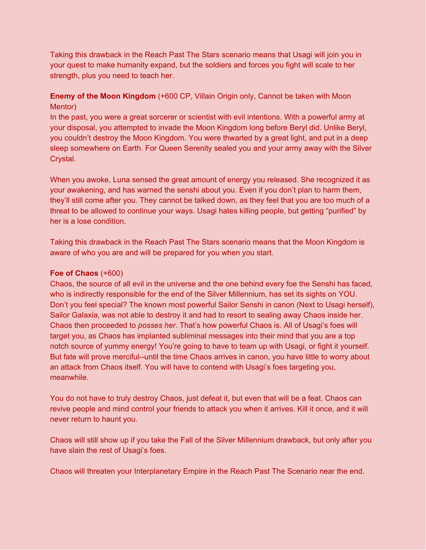Taking this drawback in the Reach Past The Stars scenario means that Usagi will join you in your quest to make humanity expand, but the soldiers and forces you fight will scale to her strength, plus you need to teach her.

# **Enemy of the Moon Kingdom** (+600 CP, Villain Origin only, Cannot be taken with Moon Mentor)

In the past, you were a great sorcerer or scientist with evil intentions. With a powerful army at your disposal, you attempted to invade the Moon Kingdom long before Beryl did. Unlike Beryl, you couldn't destroy the Moon Kingdom. You were thwarted by a great light, and put in a deep sleep somewhere on Earth. For Queen Serenity sealed you and your army away with the Silver Crystal.

When you awoke, Luna sensed the great amount of energy you released. She recognized it as your awakening, and has warned the senshi about you. Even if you don't plan to harm them, they'll still come after you. They cannot be talked down, as they feel that you are too much of a threat to be allowed to continue your ways. Usagi hates killing people, but getting "purified" by her is a lose condition.

Taking this drawback in the Reach Past The Stars scenario means that the Moon Kingdom is aware of who you are and will be prepared for you when you start.

### **Foe of Chaos** (+600)

Chaos, the source of all evil in the universe and the one behind every foe the Senshi has faced, who is indirectly responsible for the end of the Silver Millennium, has set its sights on YOU. Don't you feel special? The known most powerful Sailor Senshi in canon (Next to Usagi herself), Sailor Galaxia, was not able to destroy it and had to resort to sealing away Chaos inside her. Chaos then proceeded to *posses her*. That's how powerful Chaos is. All of Usagi's foes will target you, as Chaos has implanted subliminal messages into their mind that you are a top notch source of yummy energy! You're going to have to team up with Usagi, or fight it yourself. But fate will prove merciful--until the time Chaos arrives in canon, you have little to worry about an attack from Chaos itself. You will have to contend with Usagi's foes targeting you, meanwhile.

You do not have to truly destroy Chaos, just defeat it, but even that will be a feat. Chaos can revive people and mind control your friends to attack you when it arrives. Kill it once, and it will never return to haunt you.

Chaos will still show up if you take the Fall of the Silver Millennium drawback, but only after you have slain the rest of Usagi's foes.

Chaos will threaten your Interplanetary Empire in the Reach Past The Scenario near the end.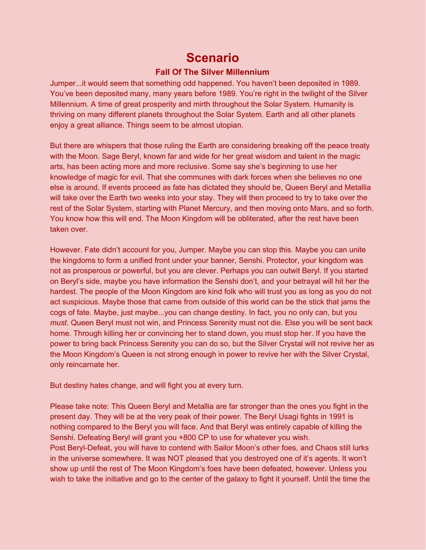# **Scenario**

# **Fall Of The Silver Millennium**

Jumper...it would seem that something odd happened. You haven't been deposited in 1989. You've been deposited many, many years before 1989. You're right in the twilight of the Silver Millennium. A time of great prosperity and mirth throughout the Solar System. Humanity is thriving on many different planets throughout the Solar System. Earth and all other planets enjoy a great alliance. Things seem to be almost utopian.

But there are whispers that those ruling the Earth are considering breaking off the peace treaty with the Moon. Sage Beryl, known far and wide for her great wisdom and talent in the magic arts, has been acting more and more reclusive. Some say she's beginning to use her knowledge of magic for evil. That she communes with dark forces when she believes no one else is around. If events proceed as fate has dictated they should be, Queen Beryl and Metallia will take over the Earth two weeks into your stay. They will then proceed to try to take over the rest of the Solar System, starting with Planet Mercury, and then moving onto Mars, and so forth. You know how this will end. The Moon Kingdom will be obliterated, after the rest have been taken over.

However. Fate didn't account for you, Jumper. Maybe you can stop this. Maybe you can unite the kingdoms to form a unified front under your banner, Senshi. Protector, your kingdom was not as prosperous or powerful, but you are clever. Perhaps you can outwit Beryl. If you started on Beryl's side, maybe you have information the Senshi don't, and your betrayal will hit her the hardest. The people of the Moon Kingdom are kind folk who will trust you as long as you do not act suspicious. Maybe those that came from outside of this world can be the stick that jams the cogs of fate. Maybe, just maybe...you can change destiny. In fact, you no only can, but you *must*. Queen Beryl must not win, and Princess Serenity must not die. Else you will be sent back home. Through killing her or convincing her to stand down, you must stop her. If you have the power to bring back Princess Serenity you can do so, but the Silver Crystal will not revive her as the Moon Kingdom's Queen is not strong enough in power to revive her with the Silver Crystal, only reincarnate her.

But destiny hates change, and will fight you at every turn.

Please take note: This Queen Beryl and Metallia are far stronger than the ones you fight in the present day. They will be at the very peak of their power. The Beryl Usagi fights in 1991 is nothing compared to the Beryl you will face. And that Beryl was entirely capable of killing the Senshi. Defeating Beryl will grant you +800 CP to use for whatever you wish. Post Beryl-Defeat, you will have to contend with Sailor Moon's other foes, and Chaos still lurks in the universe somewhere. It was NOT pleased that you destroyed one of it's agents. It won't show up until the rest of The Moon Kingdom's foes have been defeated, however. Unless you wish to take the initiative and go to the center of the galaxy to fight it yourself. Until the time the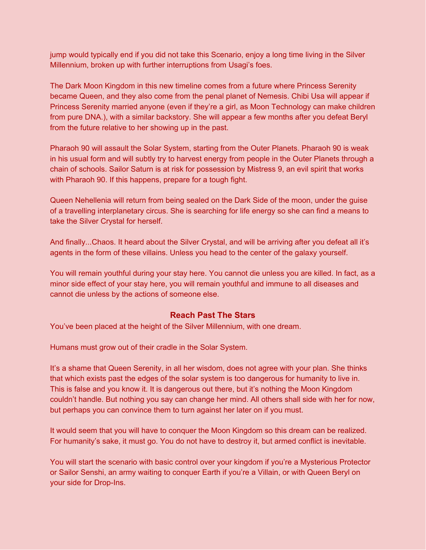jump would typically end if you did not take this Scenario, enjoy a long time living in the Silver Millennium, broken up with further interruptions from Usagi's foes.

The Dark Moon Kingdom in this new timeline comes from a future where Princess Serenity became Queen, and they also come from the penal planet of Nemesis. Chibi Usa will appear if Princess Serenity married anyone (even if they're a girl, as Moon Technology can make children from pure DNA.), with a similar backstory. She will appear a few months after you defeat Beryl from the future relative to her showing up in the past.

Pharaoh 90 will assault the Solar System, starting from the Outer Planets. Pharaoh 90 is weak in his usual form and will subtly try to harvest energy from people in the Outer Planets through a chain of schools. Sailor Saturn is at risk for possession by Mistress 9, an evil spirit that works with Pharaoh 90. If this happens, prepare for a tough fight.

Queen Nehellenia will return from being sealed on the Dark Side of the moon, under the guise of a travelling interplanetary circus. She is searching for life energy so she can find a means to take the Silver Crystal for herself.

And finally...Chaos. It heard about the Silver Crystal, and will be arriving after you defeat all it's agents in the form of these villains. Unless you head to the center of the galaxy yourself.

You will remain youthful during your stay here. You cannot die unless you are killed. In fact, as a minor side effect of your stay here, you will remain youthful and immune to all diseases and cannot die unless by the actions of someone else.

#### **Reach Past The Stars**

You've been placed at the height of the Silver Millennium, with one dream.

Humans must grow out of their cradle in the Solar System.

It's a shame that Queen Serenity, in all her wisdom, does not agree with your plan. She thinks that which exists past the edges of the solar system is too dangerous for humanity to live in. This is false and you know it. It is dangerous out there, but it's nothing the Moon Kingdom couldn't handle. But nothing you say can change her mind. All others shall side with her for now, but perhaps you can convince them to turn against her later on if you must.

It would seem that you will have to conquer the Moon Kingdom so this dream can be realized. For humanity's sake, it must go. You do not have to destroy it, but armed conflict is inevitable.

You will start the scenario with basic control over your kingdom if you're a Mysterious Protector or Sailor Senshi, an army waiting to conquer Earth if you're a Villain, or with Queen Beryl on your side for Drop-Ins.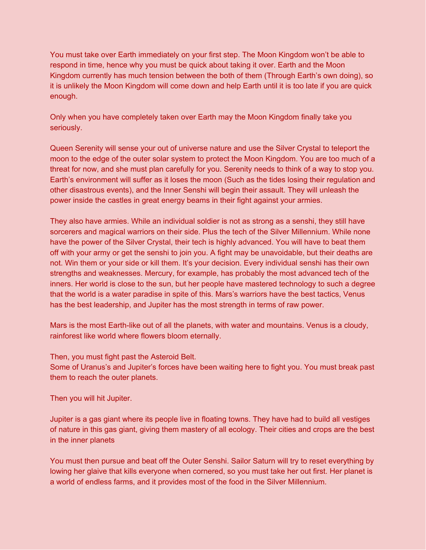You must take over Earth immediately on your first step. The Moon Kingdom won't be able to respond in time, hence why you must be quick about taking it over. Earth and the Moon Kingdom currently has much tension between the both of them (Through Earth's own doing), so it is unlikely the Moon Kingdom will come down and help Earth until it is too late if you are quick enough.

Only when you have completely taken over Earth may the Moon Kingdom finally take you seriously.

Queen Serenity will sense your out of universe nature and use the Silver Crystal to teleport the moon to the edge of the outer solar system to protect the Moon Kingdom. You are too much of a threat for now, and she must plan carefully for you. Serenity needs to think of a way to stop you. Earth's environment will suffer as it loses the moon (Such as the tides losing their regulation and other disastrous events), and the Inner Senshi will begin their assault. They will unleash the power inside the castles in great energy beams in their fight against your armies.

They also have armies. While an individual soldier is not as strong as a senshi, they still have sorcerers and magical warriors on their side. Plus the tech of the Silver Millennium. While none have the power of the Silver Crystal, their tech is highly advanced. You will have to beat them off with your army or get the senshi to join you. A fight may be unavoidable, but their deaths are not. Win them or your side or kill them. It's your decision. Every individual senshi has their own strengths and weaknesses. Mercury, for example, has probably the most advanced tech of the inners. Her world is close to the sun, but her people have mastered technology to such a degree that the world is a water paradise in spite of this. Mars's warriors have the best tactics, Venus has the best leadership, and Jupiter has the most strength in terms of raw power.

Mars is the most Earth-like out of all the planets, with water and mountains. Venus is a cloudy, rainforest like world where flowers bloom eternally.

Then, you must fight past the Asteroid Belt.

Some of Uranus's and Jupiter's forces have been waiting here to fight you. You must break past them to reach the outer planets.

Then you will hit Jupiter.

Jupiter is a gas giant where its people live in floating towns. They have had to build all vestiges of nature in this gas giant, giving them mastery of all ecology. Their cities and crops are the best in the inner planets

You must then pursue and beat off the Outer Senshi. Sailor Saturn will try to reset everything by lowing her glaive that kills everyone when cornered, so you must take her out first. Her planet is a world of endless farms, and it provides most of the food in the Silver Millennium.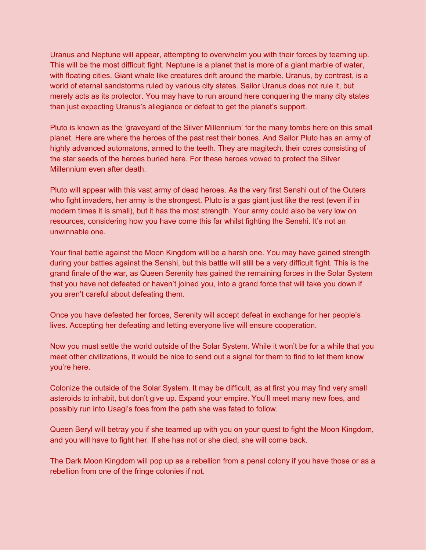Uranus and Neptune will appear, attempting to overwhelm you with their forces by teaming up. This will be the most difficult fight. Neptune is a planet that is more of a giant marble of water, with floating cities. Giant whale like creatures drift around the marble. Uranus, by contrast, is a world of eternal sandstorms ruled by various city states. Sailor Uranus does not rule it, but merely acts as its protector. You may have to run around here conquering the many city states than just expecting Uranus's allegiance or defeat to get the planet's support.

Pluto is known as the 'graveyard of the Silver Millennium' for the many tombs here on this small planet. Here are where the heroes of the past rest their bones. And Sailor Pluto has an army of highly advanced automatons, armed to the teeth. They are magitech, their cores consisting of the star seeds of the heroes buried here. For these heroes vowed to protect the Silver Millennium even after death.

Pluto will appear with this vast army of dead heroes. As the very first Senshi out of the Outers who fight invaders, her army is the strongest. Pluto is a gas giant just like the rest (even if in modern times it is small), but it has the most strength. Your army could also be very low on resources, considering how you have come this far whilst fighting the Senshi. It's not an unwinnable one.

Your final battle against the Moon Kingdom will be a harsh one. You may have gained strength during your battles against the Senshi, but this battle will still be a very difficult fight. This is the grand finale of the war, as Queen Serenity has gained the remaining forces in the Solar System that you have not defeated or haven't joined you, into a grand force that will take you down if you aren't careful about defeating them.

Once you have defeated her forces, Serenity will accept defeat in exchange for her people's lives. Accepting her defeating and letting everyone live will ensure cooperation.

Now you must settle the world outside of the Solar System. While it won't be for a while that you meet other civilizations, it would be nice to send out a signal for them to find to let them know you're here.

Colonize the outside of the Solar System. It may be difficult, as at first you may find very small asteroids to inhabit, but don't give up. Expand your empire. You'll meet many new foes, and possibly run into Usagi's foes from the path she was fated to follow.

Queen Beryl will betray you if she teamed up with you on your quest to fight the Moon Kingdom, and you will have to fight her. If she has not or she died, she will come back.

The Dark Moon Kingdom will pop up as a rebellion from a penal colony if you have those or as a rebellion from one of the fringe colonies if not.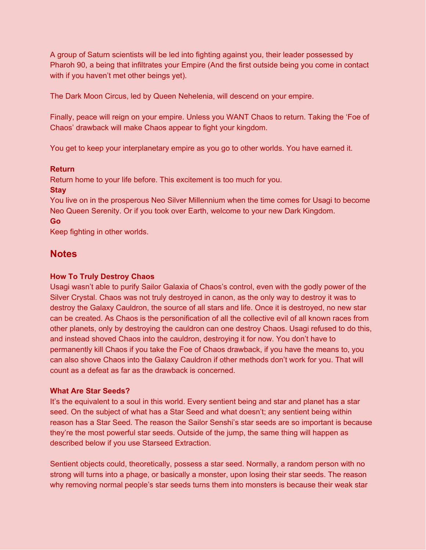A group of Saturn scientists will be led into fighting against you, their leader possessed by Pharoh 90, a being that infiltrates your Empire (And the first outside being you come in contact with if you haven't met other beings yet).

The Dark Moon Circus, led by Queen Nehelenia, will descend on your empire.

Finally, peace will reign on your empire. Unless you WANT Chaos to return. Taking the 'Foe of Chaos' drawback will make Chaos appear to fight your kingdom.

You get to keep your interplanetary empire as you go to other worlds. You have earned it.

# **Return**

Return home to your life before. This excitement is too much for you.

#### **Stay**

You live on in the prosperous Neo Silver Millennium when the time comes for Usagi to become Neo Queen Serenity. Or if you took over Earth, welcome to your new Dark Kingdom.

#### **Go**

Keep fighting in other worlds.

# **Notes**

#### **How To Truly Destroy Chaos**

Usagi wasn't able to purify Sailor Galaxia of Chaos's control, even with the godly power of the Silver Crystal. Chaos was not truly destroyed in canon, as the only way to destroy it was to destroy the Galaxy Cauldron, the source of all stars and life. Once it is destroyed, no new star can be created. As Chaos is the personification of all the collective evil of all known races from other planets, only by destroying the cauldron can one destroy Chaos. Usagi refused to do this, and instead shoved Chaos into the cauldron, destroying it for now. You don't have to permanently kill Chaos if you take the Foe of Chaos drawback, if you have the means to, you can also shove Chaos into the Galaxy Cauldron if other methods don't work for you. That will count as a defeat as far as the drawback is concerned.

#### **What Are Star Seeds?**

It's the equivalent to a soul in this world. Every sentient being and star and planet has a star seed. On the subject of what has a Star Seed and what doesn't; any sentient being within reason has a Star Seed. The reason the Sailor Senshi's star seeds are so important is because they're the most powerful star seeds. Outside of the jump, the same thing will happen as described below if you use Starseed Extraction.

Sentient objects could, theoretically, possess a star seed. Normally, a random person with no strong will turns into a phage, or basically a monster, upon losing their star seeds. The reason why removing normal people's star seeds turns them into monsters is because their weak star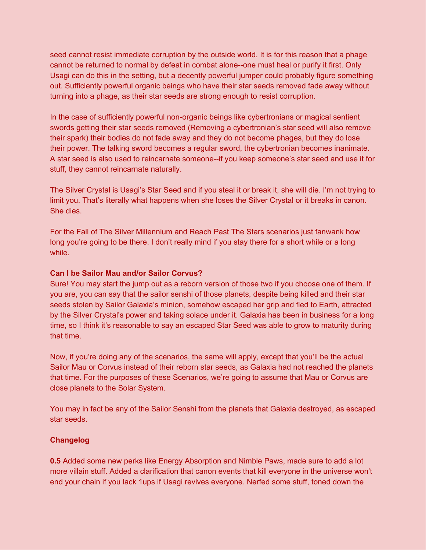seed cannot resist immediate corruption by the outside world. It is for this reason that a phage cannot be returned to normal by defeat in combat alone--one must heal or purify it first. Only Usagi can do this in the setting, but a decently powerful jumper could probably figure something out. Sufficiently powerful organic beings who have their star seeds removed fade away without turning into a phage, as their star seeds are strong enough to resist corruption.

In the case of sufficiently powerful non-organic beings like cybertronians or magical sentient swords getting their star seeds removed (Removing a cybertronian's star seed will also remove their spark) their bodies do not fade away and they do not become phages, but they do lose their power. The talking sword becomes a regular sword, the cybertronian becomes inanimate. A star seed is also used to reincarnate someone--if you keep someone's star seed and use it for stuff, they cannot reincarnate naturally.

The Silver Crystal is Usagi's Star Seed and if you steal it or break it, she will die. I'm not trying to limit you. That's literally what happens when she loses the Silver Crystal or it breaks in canon. She dies.

For the Fall of The Silver Millennium and Reach Past The Stars scenarios just fanwank how long you're going to be there. I don't really mind if you stay there for a short while or a long while.

#### **Can I be Sailor Mau and/or Sailor Corvus?**

Sure! You may start the jump out as a reborn version of those two if you choose one of them. If you are, you can say that the sailor senshi of those planets, despite being killed and their star seeds stolen by Sailor Galaxia's minion, somehow escaped her grip and fled to Earth, attracted by the Silver Crystal's power and taking solace under it. Galaxia has been in business for a long time, so I think it's reasonable to say an escaped Star Seed was able to grow to maturity during that time.

Now, if you're doing any of the scenarios, the same will apply, except that you'll be the actual Sailor Mau or Corvus instead of their reborn star seeds, as Galaxia had not reached the planets that time. For the purposes of these Scenarios, we're going to assume that Mau or Corvus are close planets to the Solar System.

You may in fact be any of the Sailor Senshi from the planets that Galaxia destroyed, as escaped star seeds.

#### **Changelog**

**0.5** Added some new perks like Energy Absorption and Nimble Paws, made sure to add a lot more villain stuff. Added a clarification that canon events that kill everyone in the universe won't end your chain if you lack 1ups if Usagi revives everyone. Nerfed some stuff, toned down the